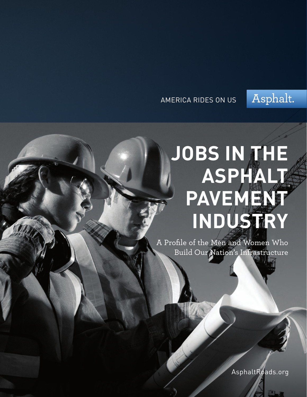### AMERICA RIDES ON US



# **JOBS IN THE ASPHALT PAVEMENT INDUSTRY**

A Profile of the Men and Women Who Build Our Nation's Infrastructure

AsphaltRoads.org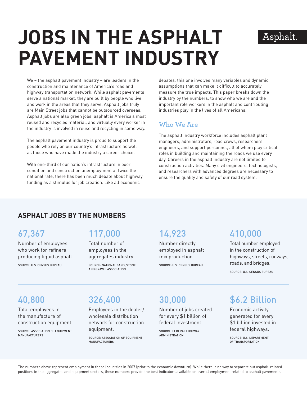## Asphalt.

# **JOBS IN THE ASPHALT PAVEMENT INDUSTRY**

We – the asphalt pavement industry – are leaders in the construction and maintenance of America's road and highway transportation network. While asphalt pavements serve a national market, they are built by people who live and work in the areas that they serve. Asphalt jobs truly are Main Street jobs that cannot be outsourced overseas. Asphalt jobs are also green jobs; asphalt is America's most reused and recycled material, and virtually every worker in the industry is involved in reuse and recycling in some way.

The asphalt pavement industry is proud to support the people who rely on our country's infrastructure as well as those who have made the industry a career choice.

With one-third of our nation's infrastructure in poor condition and construction unemployment at twice the national rate, there has been much debate about highway funding as a stimulus for job creation. Like all economic

debates, this one involves many variables and dynamic assumptions that can make it difficult to accurately measure the true impacts. This paper breaks down the industry by the numbers, to show who we are and the important role workers in the asphalt and contributing industries play in the lives of all Americans.

### **Who We Are**

The asphalt industry workforce includes asphalt plant managers, administrators, road crews, researchers, engineers, and support personnel, all of whom play critical roles in building and maintaining the roads we use every day. Careers in the asphalt industry are not limited to construction activities. Many civil engineers, technologists, and researchers with advanced degrees are necessary to ensure the quality and safety of our road system.

### **Asphalt Jobs by the Numbers**

### 67,367

Number of employees who work for refiners producing liquid asphalt.

Source: U.S. Census Bureau

# 117,000

Total number of employees in the aggregates industry.

Source: National Sand, Stone and Gravel Association

### 14,923

Number directly employed in asphalt mix production.

Source: U.S. Census Bureau

# 410,000

Total number employed in the construction of highways, streets, runways, roads, and bridges.

Source: U.S. Census Bureau

## 40,800

Total employees in the manufacture of construction equipment.

Source: Association of Equipment Manufacturers

## 326,400

Employees in the dealer/ wholesale distribution network for construction equipment.

Source: Association of Equipment Manufacturers

30,000

Number of jobs created for every \$1 billion of federal investment.

Source: Federal Highway Administration

# \$6.2 Billion

Economic activity generated for every \$1 billion invested in federal highways.

Source: U.S. Department of Transportation

The numbers above represent employment in these industries in 2007 (prior to the economic downturn). While there is no way to separate out asphalt-related positions in the aggregates and equipment sectors, these numbers provide the best indicators available on overall employment related to asphalt pavements.